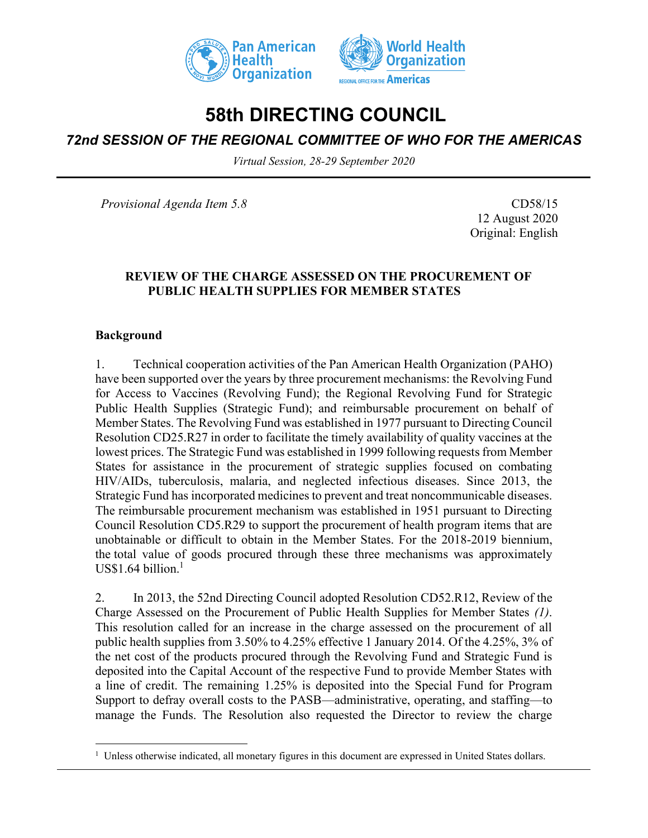



# **58th DIRECTING COUNCIL**

## *72nd SESSION OF THE REGIONAL COMMITTEE OF WHO FOR THE AMERICAS*

*Virtual Session, 28-29 September 2020*

*Provisional Agenda Item 5.8* CD58/15

12 August 2020 Original: English

#### **REVIEW OF THE CHARGE ASSESSED ON THE PROCUREMENT OF PUBLIC HEALTH SUPPLIES FOR MEMBER STATES**

#### **Background**

1. Technical cooperation activities of the Pan American Health Organization (PAHO) have been supported over the years by three procurement mechanisms: the Revolving Fund for Access to Vaccines (Revolving Fund); the Regional Revolving Fund for Strategic Public Health Supplies (Strategic Fund); and reimbursable procurement on behalf of Member States. The Revolving Fund was established in 1977 pursuant to Directing Council Resolution CD25.R27 in order to facilitate the timely availability of quality vaccines at the lowest prices. The Strategic Fund was established in 1999 following requests from Member States for assistance in the procurement of strategic supplies focused on combating HIV/AIDs, tuberculosis, malaria, and neglected infectious diseases. Since 2013, the Strategic Fund has incorporated medicines to prevent and treat noncommunicable diseases. The reimbursable procurement mechanism was established in 1951 pursuant to Directing Council Resolution CD5.R29 to support the procurement of health program items that are unobtainable or difficult to obtain in the Member States. For the 2018-2019 biennium, the total value of goods procured through these three mechanisms was approximately  $US$1.64 billion.<sup>1</sup>$ 

2. In 2013, the 52nd Directing Council adopted Resolution CD52.R12, Review of the Charge Assessed on the Procurement of Public Health Supplies for Member States *(1)*. This resolution called for an increase in the charge assessed on the procurement of all public health supplies from 3.50% to 4.25% effective 1 January 2014. Of the 4.25%, 3% of the net cost of the products procured through the Revolving Fund and Strategic Fund is deposited into the Capital Account of the respective Fund to provide Member States with a line of credit. The remaining 1.25% is deposited into the Special Fund for Program Support to defray overall costs to the PASB—administrative, operating, and staffing—to manage the Funds. The Resolution also requested the Director to review the charge

<sup>&</sup>lt;sup>1</sup> Unless otherwise indicated, all monetary figures in this document are expressed in United States dollars.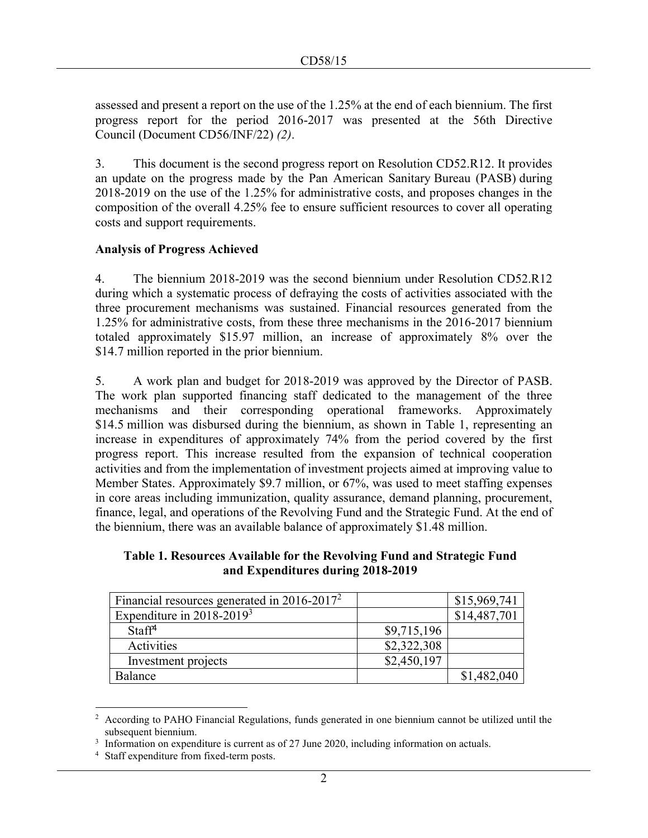assessed and present a report on the use of the 1.25% at the end of each biennium. The first progress report for the period 2016-2017 was presented at the 56th Directive Council (Document CD56/INF/22) *(2)*.

3. This document is the second progress report on Resolution CD52.R12. It provides an update on the progress made by the Pan American Sanitary Bureau (PASB) during 2018-2019 on the use of the 1.25% for administrative costs, and proposes changes in the composition of the overall 4.25% fee to ensure sufficient resources to cover all operating costs and support requirements.

### **Analysis of Progress Achieved**

4. The biennium 2018-2019 was the second biennium under Resolution CD52.R12 during which a systematic process of defraying the costs of activities associated with the three procurement mechanisms was sustained. Financial resources generated from the 1.25% for administrative costs, from these three mechanisms in the 2016-2017 biennium totaled approximately \$15.97 million, an increase of approximately 8% over the \$14.7 million reported in the prior biennium.

5. A work plan and budget for 2018-2019 was approved by the Director of PASB. The work plan supported financing staff dedicated to the management of the three mechanisms and their corresponding operational frameworks. Approximately \$14.5 million was disbursed during the biennium, as shown in Table 1, representing an increase in expenditures of approximately 74% from the period covered by the first progress report. This increase resulted from the expansion of technical cooperation activities and from the implementation of investment projects aimed at improving value to Member States. Approximately \$9.7 million, or 67%, was used to meet staffing expenses in core areas including immunization, quality assurance, demand planning, procurement, finance, legal, and operations of the Revolving Fund and the Strategic Fund. At the end of the biennium, there was an available balance of approximately \$1.48 million.

**Table 1. Resources Available for the Revolving Fund and Strategic Fund and Expenditures during 2018-2019**

| Financial resources generated in $2016-2017^2$ |             | \$15,969,741 |
|------------------------------------------------|-------------|--------------|
| Expenditure in $2018-2019^3$                   |             | \$14,487,701 |
| Staff <sup>4</sup>                             | \$9,715,196 |              |
| Activities                                     | \$2,322,308 |              |
| Investment projects                            | \$2,450,197 |              |
| Balance                                        |             | \$1,482,040  |

<sup>2</sup> According to PAHO Financial Regulations, funds generated in one biennium cannot be utilized until the subsequent biennium.

 $3$  Information on expenditure is current as of 27 June 2020, including information on actuals.

<sup>4</sup> Staff expenditure from fixed-term posts.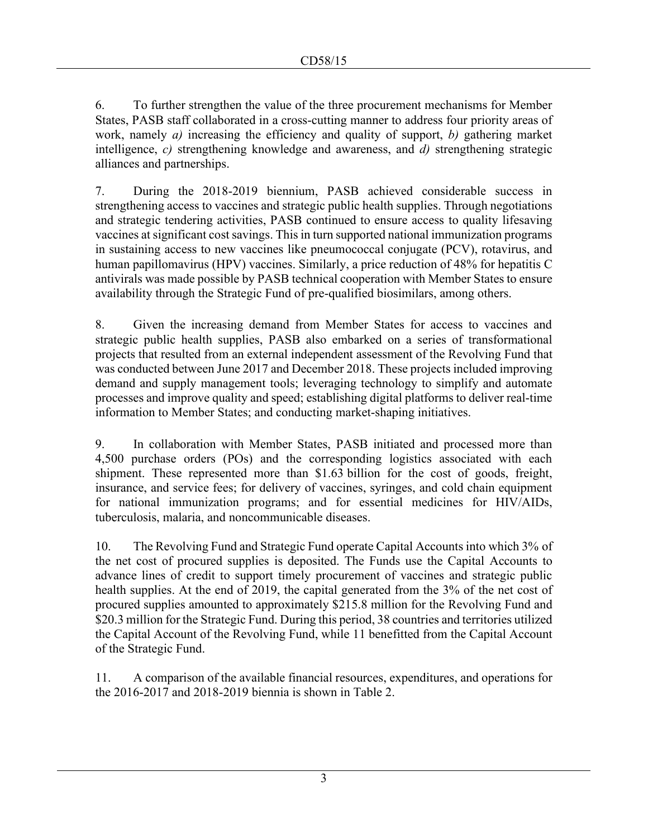6. To further strengthen the value of the three procurement mechanisms for Member States, PASB staff collaborated in a cross-cutting manner to address four priority areas of work, namely *a)* increasing the efficiency and quality of support, *b)* gathering market intelligence, *c)* strengthening knowledge and awareness, and *d)* strengthening strategic alliances and partnerships.

7. During the 2018-2019 biennium, PASB achieved considerable success in strengthening access to vaccines and strategic public health supplies. Through negotiations and strategic tendering activities, PASB continued to ensure access to quality lifesaving vaccines at significant cost savings. This in turn supported national immunization programs in sustaining access to new vaccines like pneumococcal conjugate (PCV), rotavirus, and human papillomavirus (HPV) vaccines. Similarly, a price reduction of 48% for hepatitis C antivirals was made possible by PASB technical cooperation with Member States to ensure availability through the Strategic Fund of pre-qualified biosimilars, among others.

8. Given the increasing demand from Member States for access to vaccines and strategic public health supplies, PASB also embarked on a series of transformational projects that resulted from an external independent assessment of the Revolving Fund that was conducted between June 2017 and December 2018. These projects included improving demand and supply management tools; leveraging technology to simplify and automate processes and improve quality and speed; establishing digital platforms to deliver real-time information to Member States; and conducting market-shaping initiatives.

9. In collaboration with Member States, PASB initiated and processed more than 4,500 purchase orders (POs) and the corresponding logistics associated with each shipment. These represented more than \$1.63 billion for the cost of goods, freight, insurance, and service fees; for delivery of vaccines, syringes, and cold chain equipment for national immunization programs; and for essential medicines for HIV/AIDs, tuberculosis, malaria, and noncommunicable diseases.

10. The Revolving Fund and Strategic Fund operate Capital Accounts into which 3% of the net cost of procured supplies is deposited. The Funds use the Capital Accounts to advance lines of credit to support timely procurement of vaccines and strategic public health supplies. At the end of 2019, the capital generated from the 3% of the net cost of procured supplies amounted to approximately \$215.8 million for the Revolving Fund and \$20.3 million for the Strategic Fund. During this period, 38 countries and territories utilized the Capital Account of the Revolving Fund, while 11 benefitted from the Capital Account of the Strategic Fund.

11. A comparison of the available financial resources, expenditures, and operations for the 2016-2017 and 2018-2019 biennia is shown in Table 2.

3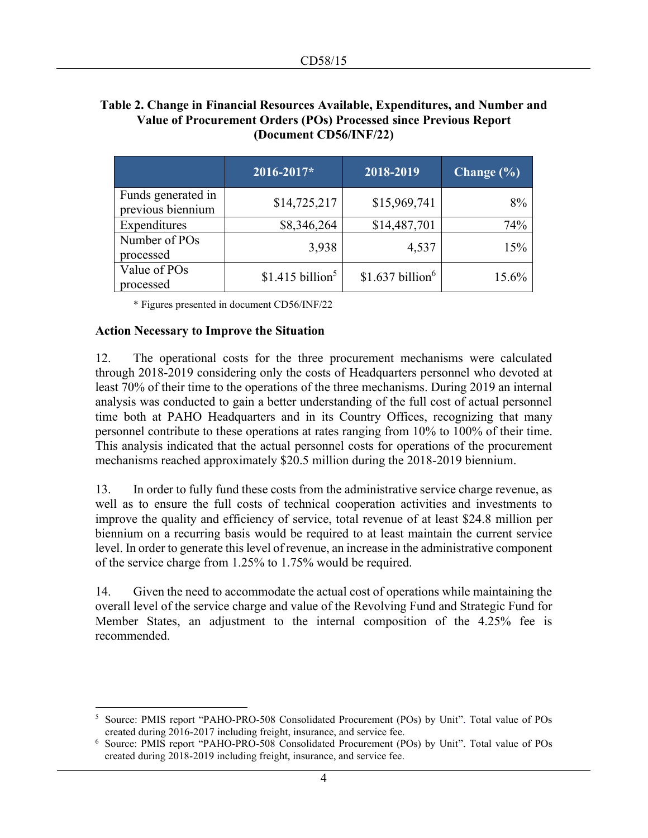## **Table 2. Change in Financial Resources Available, Expenditures, and Number and Value of Procurement Orders (POs) Processed since Previous Report (Document CD56/INF/22)**

|                                         | 2016-2017*                   | 2018-2019                    | Change $(\% )$ |
|-----------------------------------------|------------------------------|------------------------------|----------------|
| Funds generated in<br>previous biennium | \$14,725,217                 | \$15,969,741                 | 8%             |
| Expenditures                            | \$8,346,264                  | \$14,487,701                 | 74%            |
| Number of POs<br>processed              | 3,938                        | 4,537                        | 15%            |
| Value of POs<br>processed               | \$1.415 billion <sup>5</sup> | \$1.637 billion <sup>6</sup> | 15.6%          |

\* Figures presented in document CD56/INF/22

#### **Action Necessary to Improve the Situation**

12. The operational costs for the three procurement mechanisms were calculated through 2018-2019 considering only the costs of Headquarters personnel who devoted at least 70% of their time to the operations of the three mechanisms. During 2019 an internal analysis was conducted to gain a better understanding of the full cost of actual personnel time both at PAHO Headquarters and in its Country Offices, recognizing that many personnel contribute to these operations at rates ranging from 10% to 100% of their time. This analysis indicated that the actual personnel costs for operations of the procurement mechanisms reached approximately \$20.5 million during the 2018-2019 biennium.

13. In order to fully fund these costs from the administrative service charge revenue, as well as to ensure the full costs of technical cooperation activities and investments to improve the quality and efficiency of service, total revenue of at least \$24.8 million per biennium on a recurring basis would be required to at least maintain the current service level. In order to generate this level of revenue, an increase in the administrative component of the service charge from 1.25% to 1.75% would be required.

14. Given the need to accommodate the actual cost of operations while maintaining the overall level of the service charge and value of the Revolving Fund and Strategic Fund for Member States, an adjustment to the internal composition of the 4.25% fee is recommended.

<sup>5</sup> Source: PMIS report "PAHO-PRO-508 Consolidated Procurement (POs) by Unit". Total value of POs created during 2016-2017 including freight, insurance, and service fee.

<sup>6</sup> Source: PMIS report "PAHO-PRO-508 Consolidated Procurement (POs) by Unit". Total value of POs created during 2018-2019 including freight, insurance, and service fee.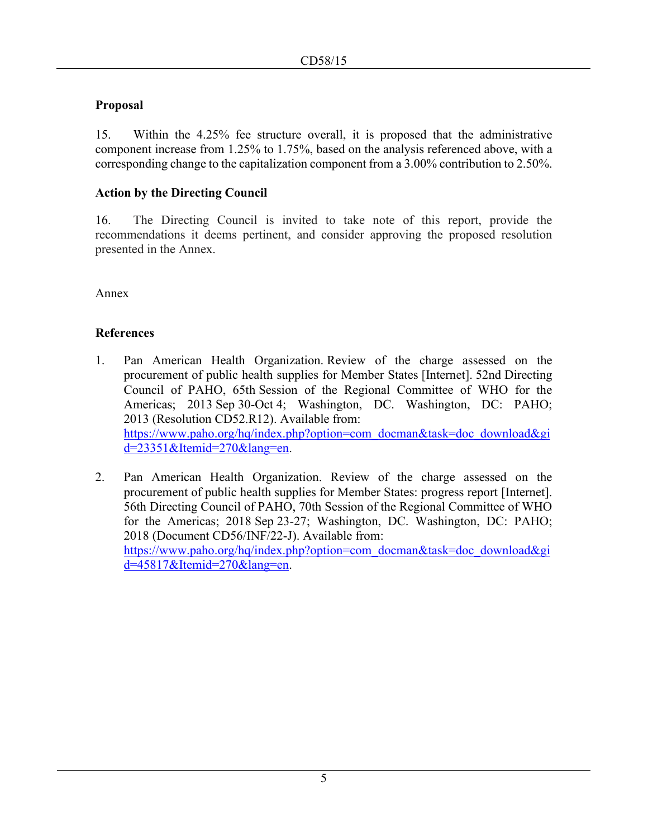## **Proposal**

15. Within the 4.25% fee structure overall, it is proposed that the administrative component increase from 1.25% to 1.75%, based on the analysis referenced above, with a corresponding change to the capitalization component from a 3.00% contribution to 2.50%.

## **Action by the Directing Council**

16. The Directing Council is invited to take note of this report, provide the recommendations it deems pertinent, and consider approving the proposed resolution presented in the Annex.

Annex

### **References**

- 1. Pan American Health Organization. Review of the charge assessed on the procurement of public health supplies for Member States [Internet]. 52nd Directing Council of PAHO, 65th Session of the Regional Committee of WHO for the Americas; 2013 Sep 30-Oct 4; Washington, DC. Washington, DC: PAHO; 2013 (Resolution CD52.R12). Available from: [https://www.paho.org/hq/index.php?option=com\\_docman&task=doc\\_download&gi](https://www.paho.org/hq/index.php?option=com_docman&task=doc_download&gid=23351&Itemid=270&lang=en) [d=23351&Itemid=270&lang=en.](https://www.paho.org/hq/index.php?option=com_docman&task=doc_download&gid=23351&Itemid=270&lang=en)
- 2. Pan American Health Organization. Review of the charge assessed on the procurement of public health supplies for Member States: progress report [Internet]. 56th Directing Council of PAHO, 70th Session of the Regional Committee of WHO for the Americas; 2018 Sep 23-27; Washington, DC. Washington, DC: PAHO; 2018 (Document CD56/INF/22-J). Available from: [https://www.paho.org/hq/index.php?option=com\\_docman&task=doc\\_download&gi](https://www.paho.org/hq/index.php?option=com_docman&task=doc_download&gid=45817&Itemid=270&lang=en) [d=45817&Itemid=270&lang=en.](https://www.paho.org/hq/index.php?option=com_docman&task=doc_download&gid=45817&Itemid=270&lang=en)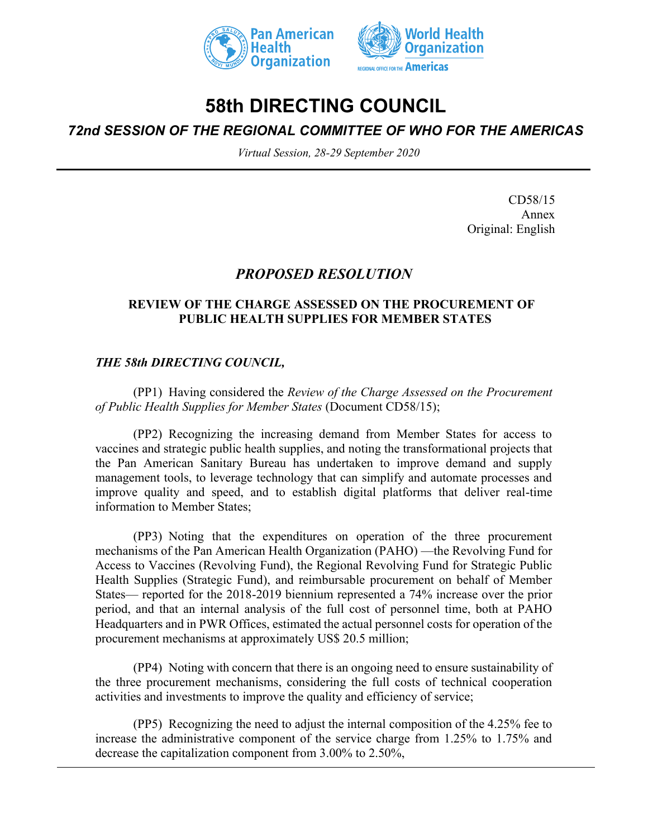



# **58th DIRECTING COUNCIL**

*72nd SESSION OF THE REGIONAL COMMITTEE OF WHO FOR THE AMERICAS*

*Virtual Session, 28-29 September 2020*

CD58/15 Annex Original: English

## *PROPOSED RESOLUTION*

#### **REVIEW OF THE CHARGE ASSESSED ON THE PROCUREMENT OF PUBLIC HEALTH SUPPLIES FOR MEMBER STATES**

## *THE 58th DIRECTING COUNCIL,*

(PP1) Having considered the *Review of the Charge Assessed on the Procurement of Public Health Supplies for Member States* (Document CD58/15);

(PP2) Recognizing the increasing demand from Member States for access to vaccines and strategic public health supplies, and noting the transformational projects that the Pan American Sanitary Bureau has undertaken to improve demand and supply management tools, to leverage technology that can simplify and automate processes and improve quality and speed, and to establish digital platforms that deliver real-time information to Member States;

(PP3) Noting that the expenditures on operation of the three procurement mechanisms of the Pan American Health Organization (PAHO) —the Revolving Fund for Access to Vaccines (Revolving Fund), the Regional Revolving Fund for Strategic Public Health Supplies (Strategic Fund), and reimbursable procurement on behalf of Member States— reported for the 2018-2019 biennium represented a 74% increase over the prior period, and that an internal analysis of the full cost of personnel time, both at PAHO Headquarters and in PWR Offices, estimated the actual personnel costs for operation of the procurement mechanisms at approximately US\$ 20.5 million;

(PP4) Noting with concern that there is an ongoing need to ensure sustainability of the three procurement mechanisms, considering the full costs of technical cooperation activities and investments to improve the quality and efficiency of service;

(PP5) Recognizing the need to adjust the internal composition of the 4.25% fee to increase the administrative component of the service charge from 1.25% to 1.75% and decrease the capitalization component from 3.00% to 2.50%,